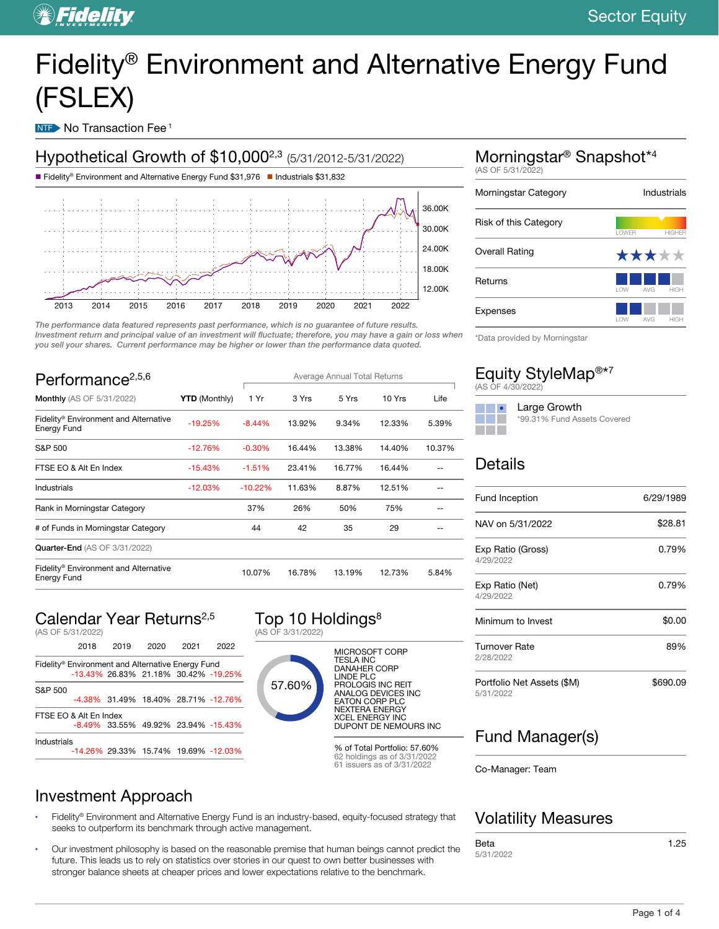# Fidelity® Environment and Alternative Energy Fund (FSLEX)

NTF No Transaction Fee<sup>1</sup>



The performance data featured represents past performance, which is no guarantee of future results. Investment return and principal value of an investment will fluctuate; therefore, you may have a gain or loss when you sell your shares. Current performance may be higher or lower than the performance data quoted.

| Performance <sup>2,5,6</sup>                         |                      | Average Annual Total Returns |        |        |        |        |
|------------------------------------------------------|----------------------|------------------------------|--------|--------|--------|--------|
| <b>Monthly</b> (AS OF 5/31/2022)                     | <b>YTD</b> (Monthly) | 1 Yr                         | 3 Yrs  | 5 Yrs  | 10 Yrs | Life   |
| Fidelity® Environment and Alternative<br>Energy Fund | $-19.25%$            | $-8.44%$                     | 13.92% | 9.34%  | 12.33% | 5.39%  |
| S&P 500                                              | $-12.76%$            | $-0.30%$                     | 16.44% | 13.38% | 14.40% | 10.37% |
| FTSE EO & Alt En Index                               | $-15.43%$            | $-1.51%$                     | 23.41% | 16.77% | 16.44% |        |
| Industrials                                          | $-12.03%$            | $-10.22%$                    | 11.63% | 8.87%  | 12.51% |        |
| Rank in Morningstar Category                         |                      | 37%                          | 26%    | 50%    | 75%    |        |
| # of Funds in Morningstar Category                   |                      | 44                           | 42     | 35     | 29     |        |
| <b>Quarter-End (AS OF 3/31/2022)</b>                 |                      |                              |        |        |        |        |
| Fidelity® Environment and Alternative<br>Energy Fund |                      | 10.07%                       | 16.78% | 13.19% | 12.73% | 5.84%  |

### Calendar Year Returns<sup>2,5</sup>

Investment Approach

|             | (AS OF 5/31/2022)                                 |      |      |      |                                           |
|-------------|---------------------------------------------------|------|------|------|-------------------------------------------|
|             | 2018                                              | 2019 | 2020 | 2021 | 2022                                      |
|             | Fidelity® Environment and Alternative Energy Fund |      |      |      |                                           |
|             |                                                   |      |      |      | -13.43% 26.83% 21.18% 30.42% -19.25%      |
| S&P 500     |                                                   |      |      |      |                                           |
|             |                                                   |      |      |      | -4.38% 31.49% 18.40% 28.71% -12.76%       |
|             | FTSF FO & Alt Fn Index                            |      |      |      |                                           |
|             |                                                   |      |      |      | $-8.49\%$ 33.55% 49.92% 23.94% $-15.43\%$ |
| Industrials |                                                   |      |      |      |                                           |
|             |                                                   |      |      |      | -14.26% 29.33% 15.74% 19.69% -12.03%      |





MICROSOFT CORP TESLA INC DANAHER CORP LINDE PLC PROLOGIS INC REIT ANALOG DEVICES INC EATON CORP PLC NEXTERA ENERGY XCEL ENERGY INC DUPONT DE NEMOURS INC

% of Total Portfolio: 57.60% 62 holdings as of 3/31/2022 61 issuers as of 3/31/2022

### Morningstar® Snapshot\*<sup>4</sup> (AS OF 5/31/2022) Morningstar Category **Industrials** Risk of this Category

|                       | <b>I OWFR</b> | <b>HIGHER</b>                  |
|-----------------------|---------------|--------------------------------|
| <b>Overall Rating</b> |               | *****                          |
| Returns               | <b>I</b> OW   | AVG<br><b>HIGH</b>             |
| <b>Expenses</b>       | <b>I OW</b>   | $\triangle V$ G<br><b>HIGH</b> |

\*Data provided by Morningstar

|                   |  | Equity StyleMap <sup>®*7</sup> |
|-------------------|--|--------------------------------|
| (AS OF 4/30/2022) |  |                                |

#### **Contract Contract Contract** Large Growth a di Band \*99.31% Fund Assets Covered

#### **Details**

| <b>Fund Inception</b>                   | 6/29/1989 |
|-----------------------------------------|-----------|
| NAV on 5/31/2022                        | \$28.81   |
| Exp Ratio (Gross)<br>4/29/2022          | 0.79%     |
| Exp Ratio (Net)<br>4/29/2022            | 0.79%     |
| Minimum to Invest                       | \$0.00    |
| <b>Turnover Rate</b><br>2/28/2022       | 89%       |
| Portfolio Net Assets (\$M)<br>5/31/2022 | \$690.09  |

### Fund Manager(s)

Co-Manager: Team

- Fidelity® Environment and Alternative Energy Fund is an industry-based, equity-focused strategy that seeks to outperform its benchmark through active management.
- Our investment philosophy is based on the reasonable premise that human beings cannot predict the future. This leads us to rely on statistics over stories in our quest to own better businesses with stronger balance sheets at cheaper prices and lower expectations relative to the benchmark.

### Volatility Measures

Beta 5/31/2022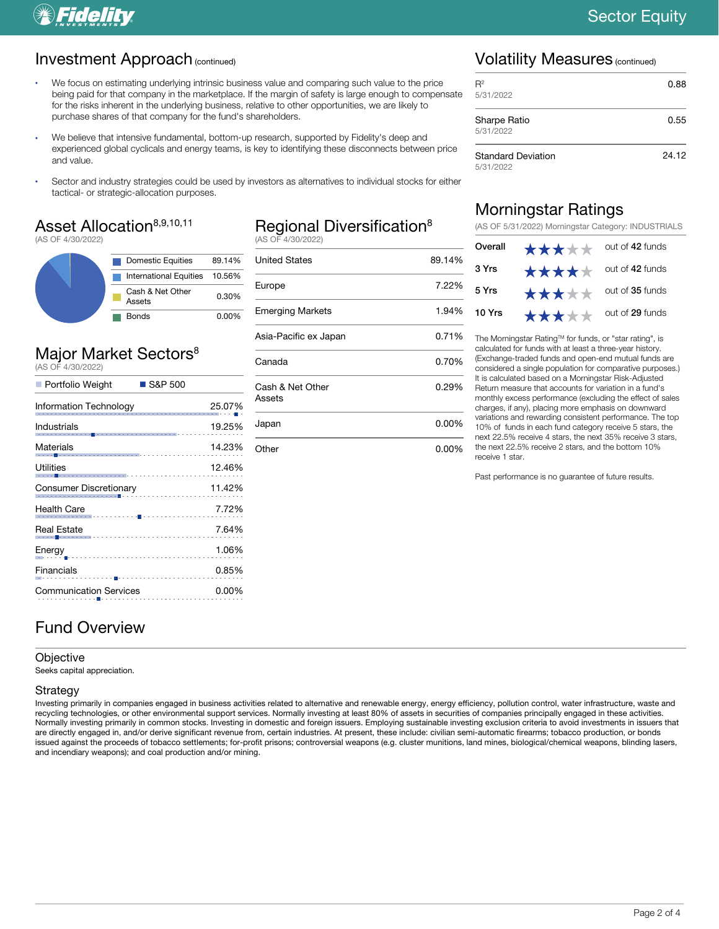## *SFidelity*

#### Investment Approach (continued)

- We focus on estimating underlying intrinsic business value and comparing such value to the price being paid for that company in the marketplace. If the margin of safety is large enough to compensate for the risks inherent in the underlying business, relative to other opportunities, we are likely to purchase shares of that company for the fund's shareholders.
- We believe that intensive fundamental, bottom-up research, supported by Fidelity's deep and experienced global cyclicals and energy teams, is key to identifying these disconnects between price and value.
- Sector and industry strategies could be used by investors as alternatives to individual stocks for either tactical- or strategic-allocation purposes.

### Asset Allocation<sup>8,9,10,11</sup>

(AS OF 4/30/2022)

| <b>Domestic Equities</b>          | 89.14%   |
|-----------------------------------|----------|
| International Equities 10.56%     |          |
| Cash & Net Other<br><b>Assets</b> | 0.30%    |
| <b>Bonds</b>                      | $0.00\%$ |

#### Major Market Sectors<sup>8</sup> (AS OF 4/30/2022)

| Portfolio Weight<br>$\blacksquare$ S&P 500 |        |
|--------------------------------------------|--------|
| Information Technology                     | 25.07% |
| Industrials                                | 19.25% |
| Materials                                  | 14.23% |
| Utilities                                  | 12.46% |
| <b>Consumer Discretionary</b>              | 11.42% |
| <b>Health Care</b>                         | 7.72%  |
| Real Estate                                | 7.64%  |
| Energy_                                    | 1.06%  |
| Financials                                 | 0.85%  |
| <b>Communication Services</b>              | 0.00%  |

### Fund Overview

#### **Objective**

Seeks capital appreciation.

#### Strategy

Investing primarily in companies engaged in business activities related to alternative and renewable energy, energy efficiency, pollution control, water infrastructure, waste and recycling technologies, or other environmental support services. Normally investing at least 80% of assets in securities of companies principally engaged in these activities. Normally investing primarily in common stocks. Investing in domestic and foreign issuers. Employing sustainable investing exclusion criteria to avoid investments in issuers that are directly engaged in, and/or derive significant revenue from, certain industries. At present, these include: civilian semi-automatic firearms; tobacco production, or bonds issued against the proceeds of tobacco settlements; for-profit prisons; controversial weapons (e.g. cluster munitions, land mines, biological/chemical weapons, blinding lasers, and incendiary weapons); and coal production and/or mining.

#### Regional Diversification<sup>8</sup> (AS OF 4/30/2022)

United States 89.14% Europe 7.22% Emerging Markets 1.94% Asia-Pacific ex Japan 0.71% Canada 0.70% Cash & Net Other Assets 0.29% Japan 0.00%

Other 0.00%

#### Volatility Measures (continued)

| $R^2$<br>5/31/2022                     | 0.88  |
|----------------------------------------|-------|
| Sharpe Ratio<br>5/31/2022              | 0.55  |
| <b>Standard Deviation</b><br>5/31/2022 | 24.12 |

#### Morningstar Ratings

(AS OF 5/31/2022) Morningstar Category: INDUSTRIALS

| Overall | *****                         | out of 42 funds |
|---------|-------------------------------|-----------------|
| 3 Yrs   | <b>★★★★</b> ★ out of 42 funds |                 |
| 5 Yrs   | <b>★★★★★</b> out of 35 funds  |                 |
| 10 Yrs  | *****                         | out of 29 funds |

The Morningstar Rating™ for funds, or "star rating", is calculated for funds with at least a three-year history. (Exchange-traded funds and open-end mutual funds are considered a single population for comparative purposes.) It is calculated based on a Morningstar Risk-Adjusted Return measure that accounts for variation in a fund's monthly excess performance (excluding the effect of sales charges, if any), placing more emphasis on downward variations and rewarding consistent performance. The top 10% of funds in each fund category receive 5 stars, the next 22.5% receive 4 stars, the next 35% receive 3 stars, the next 22.5% receive 2 stars, and the bottom 10% receive 1 star.

Past performance is no guarantee of future results.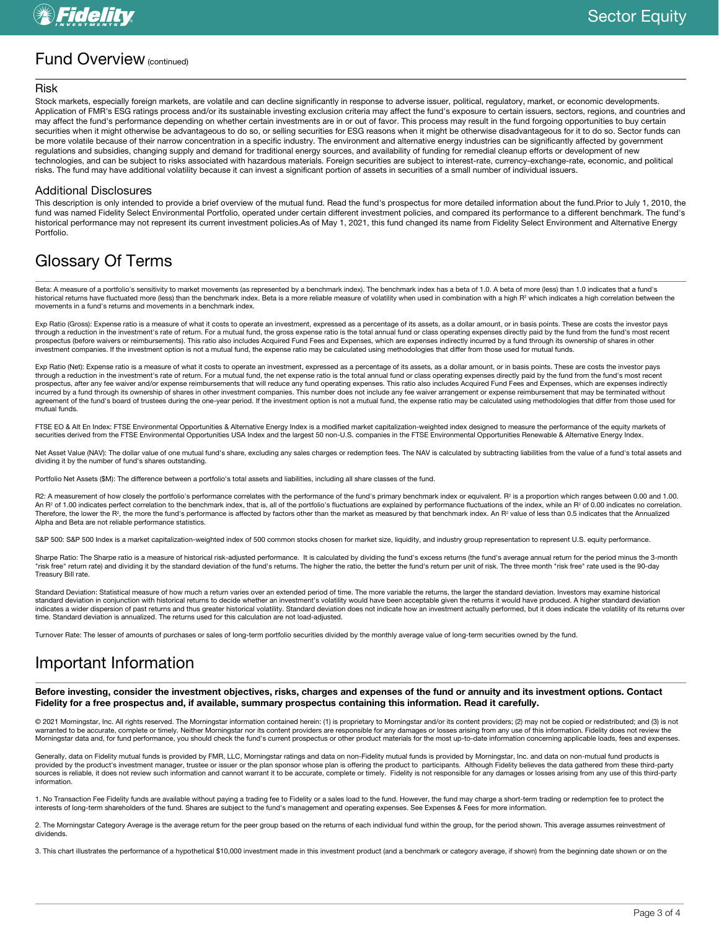#### Fund Overview (continued)

#### Risk

Stock markets, especially foreign markets, are volatile and can decline significantly in response to adverse issuer, political, regulatory, market, or economic developments. Application of FMR's ESG ratings process and/or its sustainable investing exclusion criteria may affect the fund's exposure to certain issuers, sectors, regions, and countries and may affect the fund's performance depending on whether certain investments are in or out of favor. This process may result in the fund forgoing opportunities to buy certain securities when it might otherwise be advantageous to do so, or selling securities for ESG reasons when it might be otherwise disadvantageous for it to do so. Sector funds can be more volatile because of their narrow concentration in a specific industry. The environment and alternative energy industries can be significantly affected by government regulations and subsidies, changing supply and demand for traditional energy sources, and availability of funding for remedial cleanup efforts or development of new technologies, and can be subject to risks associated with hazardous materials. Foreign securities are subject to interest-rate, currency-exchange-rate, economic, and political risks. The fund may have additional volatility because it can invest a significant portion of assets in securities of a small number of individual issuers.

#### Additional Disclosures

This description is only intended to provide a brief overview of the mutual fund. Read the fund's prospectus for more detailed information about the fund.Prior to July 1, 2010, the fund was named Fidelity Select Environmental Portfolio, operated under certain different investment policies, and compared its performance to a different benchmark. The fund's historical performance may not represent its current investment policies.As of May 1, 2021, this fund changed its name from Fidelity Select Environment and Alternative Energy Portfolio.

#### Glossary Of Terms

Beta: A measure of a portfolio's sensitivity to market movements (as represented by a benchmark index). The benchmark index has a beta of 1.0. A beta of more (less) than 1.0 indicates that a fund's historical returns have fluctuated more (less) than the benchmark index. Beta is a more reliable measure of volatility when used in combination with a high R<sup>2</sup> which indicates a high correlation between the movements in a fund's returns and movements in a benchmark index.

Exp Ratio (Gross): Expense ratio is a measure of what it costs to operate an investment, expressed as a percentage of its assets, as a dollar amount, or in basis points. These are costs the investor pays through a reduction in the investment's rate of return. For a mutual fund, the gross expense ratio is the total annual fund or class operating expenses directly paid by the fund from the fund's most recent prospectus (before waivers or reimbursements). This ratio also includes Acquired Fund Fees and Expenses, which are expenses indirectly incurred by a fund through its ownership of shares in other processes in other investment companies. If the investment option is not a mutual fund, the expense ratio may be calculated using methodologies that differ from those used for mutual funds.

Exp Ratio (Net): Expense ratio is a measure of what it costs to operate an investment, expressed as a percentage of its assets, as a dollar amount, or in basis points. These are costs the investor pays through a reduction in the investment's rate of return. For a mutual fund, the net expense ratio is the total annual fund or class operating expenses directly paid by the fund from the fund's most recent prospectus, after any fee waiver and/or expense reimbursements that will reduce any fund operating expenses. This ratio also includes Acquired Fund Fees and Expenses, which are expenses indirectly incurred by a fund through its ownership of shares in other investment companies. This number does not include any fee waiver arrangement or expense reimbursement that may be terminated without agreement of the fund's board of trustees during the one-year period. If the investment option is not a mutual fund, the expense ratio may be calculated using methodologies that differ from those used for mutual funds.

FTSE EO & Alt En Index: FTSE Environmental Opportunities & Alternative Energy Index is a modified market capitalization-weighted index designed to measure the performance of the equity markets of securities derived from the FTSE Environmental Opportunities USA Index and the largest 50 non-U.S. companies in the FTSE Environmental Opportunities Renewable & Alternative Energy Index.

Net Asset Value (NAV): The dollar value of one mutual fund's share, excluding any sales charges or redemption fees. The NAV is calculated by subtracting liabilities from the value of a fund's total assets and dividing it by the number of fund's shares outstanding.

Portfolio Net Assets (\$M): The difference between a portfolio's total assets and liabilities, including all share classes of the fund.

R2: A measurement of how closely the portfolio's performance correlates with the performance of the fund's primary benchmark index or equivalent. R<sup>2</sup> is a proportion which ranges between 0.00 and 1.00. An R<sup>2</sup> of 1.00 indicates perfect correlation to the benchmark index, that is, all of the portfolio's fluctuations are explained by performance fluctuations of the index, while an R<sup>2</sup> of 0.00 indicates no correlation. Therefore, the lower the R<sup>2</sup>, the more the fund's performance is affected by factors other than the market as measured by that benchmark index. An R<sup>2</sup> value of less than 0.5 indicates that the Annualized Alpha and Beta are not reliable performance statistics.

S&P 500: S&P 500 Index is a market capitalization-weighted index of 500 common stocks chosen for market size, liquidity, and industry group representation to represent U.S. equity performance.

Sharpe Ratio: The Sharpe ratio is a measure of historical risk-adjusted performance. It is calculated by dividing the fund's excess returns (the fund's average annual return for the period minus the 3-month "risk free" return rate) and dividing it by the standard deviation of the fund's returns. The higher the ratio, the better the fund's return per unit of risk. The three month "risk free" rate used is the 90-day Treasury Bill rate.

Standard Deviation: Statistical measure of how much a return varies over an extended period of time. The more variable the returns, the larger the standard deviation. Investors may examine historical standard deviation in conjunction with historical returns to decide whether an investment's volatility would have been acceptable given the returns it would have produced. A higher standard deviation indicates a wider dispersion of past returns and thus greater historical volatility. Standard deviation does not indicate how an investment actually performed, but it does indicate the volatility of its returns over time. Standard deviation is annualized. The returns used for this calculation are not load-adjusted.

Turnover Rate: The lesser of amounts of purchases or sales of long-term portfolio securities divided by the monthly average value of long-term securities owned by the fund.

### Important Information

Before investing, consider the investment objectives, risks, charges and expenses of the fund or annuity and its investment options. Contact Fidelity for a free prospectus and, if available, summary prospectus containing this information. Read it carefully.

© 2021 Morningstar, Inc. All rights reserved. The Morningstar information contained herein: (1) is proprietary to Morningstar and/or its content providers; (2) may not be copied or redistributed; and (3) is not warranted to be accurate, complete or timely. Neither Morningstar nor its content providers are responsible for any damages or losses arising from any use of this information. Fidelity does not review the Morningstar data and, for fund performance, you should check the fund's current prospectus or other product materials for the most up-to-date information concerning applicable loads, fees and expenses.

Generally, data on Fidelity mutual funds is provided by FMR, LLC, Morningstar ratings and data on non-Fidelity mutual funds is provided by Morningstar, Inc. and data on non-mutual fund products is provided by the product's investment manager, trustee or issuer or the plan sponsor whose plan is offering the product to participants. Although Fidelity believes the data gathered from these third-party sources is reliable, it does not review such information and cannot warrant it to be accurate, complete or timely. Fidelity is not responsible for any damages or losses arising from any use of this third-party information.

1. No Transaction Fee Fidelity funds are available without paying a trading fee to Fidelity or a sales load to the fund. However, the fund may charge a short-term trading or redemption fee to protect the interests of long-term shareholders of the fund. Shares are subject to the fund's management and operating expenses. See Expenses & Fees for more information.

2. The Morningstar Category Average is the average return for the peer group based on the returns of each individual fund within the group, for the period shown. This average assumes reinvestment of dividends.

3. This chart illustrates the performance of a hypothetical \$10,000 investment made in this investment product (and a benchmark or category average, if shown) from the beginning date shown or on the